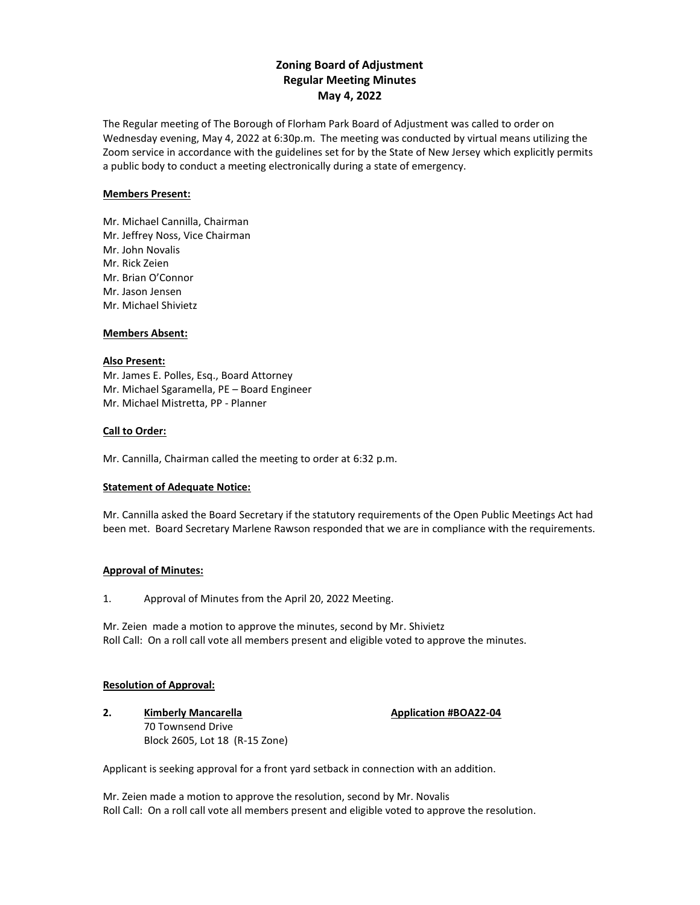# **Zoning Board of Adjustment Regular Meeting Minutes May 4, 2022**

The Regular meeting of The Borough of Florham Park Board of Adjustment was called to order on Wednesday evening, May 4, 2022 at 6:30p.m. The meeting was conducted by virtual means utilizing the Zoom service in accordance with the guidelines set for by the State of New Jersey which explicitly permits a public body to conduct a meeting electronically during a state of emergency.

### **Members Present:**

Mr. Michael Cannilla, Chairman Mr. Jeffrey Noss, Vice Chairman Mr. John Novalis Mr. Rick Zeien Mr. Brian O'Connor Mr. Jason Jensen Mr. Michael Shivietz

## **Members Absent:**

#### **Also Present:**

Mr. James E. Polles, Esq., Board Attorney Mr. Michael Sgaramella, PE – Board Engineer Mr. Michael Mistretta, PP - Planner

### **Call to Order:**

Mr. Cannilla, Chairman called the meeting to order at 6:32 p.m.

#### **Statement of Adequate Notice:**

Mr. Cannilla asked the Board Secretary if the statutory requirements of the Open Public Meetings Act had been met. Board Secretary Marlene Rawson responded that we are in compliance with the requirements.

#### **Approval of Minutes:**

1. Approval of Minutes from the April 20, 2022 Meeting.

Mr. Zeien made a motion to approve the minutes, second by Mr. Shivietz Roll Call: On a roll call vote all members present and eligible voted to approve the minutes.

#### **Resolution of Approval:**

**2. Kimberly Mancarella Application #BOA22-04** 70 Townsend Drive Block 2605, Lot 18 (R-15 Zone)

Applicant is seeking approval for a front yard setback in connection with an addition.

Mr. Zeien made a motion to approve the resolution, second by Mr. Novalis Roll Call: On a roll call vote all members present and eligible voted to approve the resolution.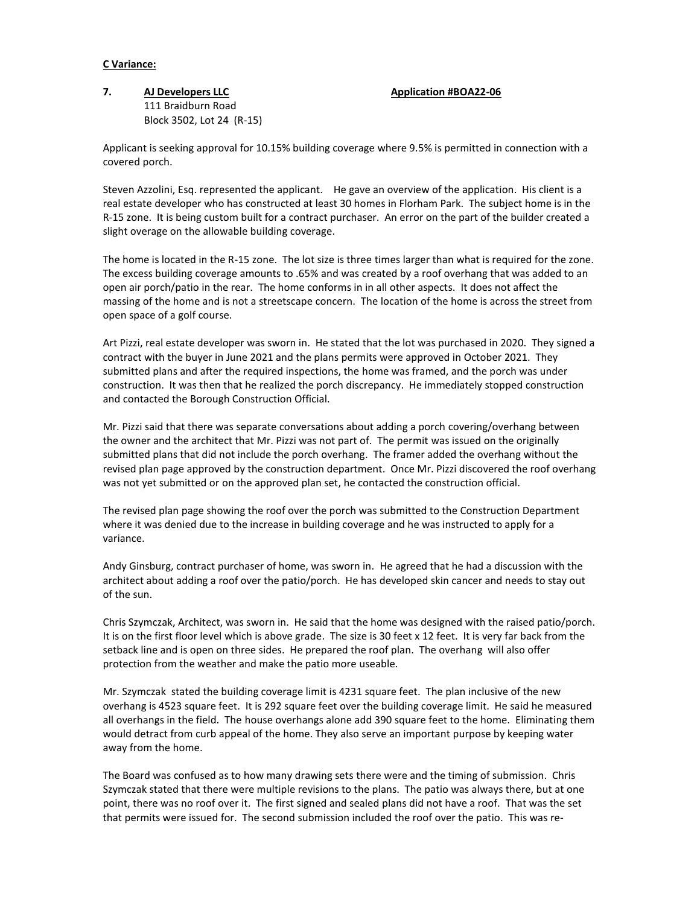### **C Variance:**

# **7. AJ Developers LLC Application #BOA22-06** 111 Braidburn Road Block 3502, Lot 24 (R-15)

Applicant is seeking approval for 10.15% building coverage where 9.5% is permitted in connection with a covered porch.

Steven Azzolini, Esq. represented the applicant. He gave an overview of the application. His client is a real estate developer who has constructed at least 30 homes in Florham Park. The subject home is in the R-15 zone. It is being custom built for a contract purchaser. An error on the part of the builder created a slight overage on the allowable building coverage.

The home is located in the R-15 zone. The lot size is three times larger than what is required for the zone. The excess building coverage amounts to .65% and was created by a roof overhang that was added to an open air porch/patio in the rear. The home conforms in in all other aspects. It does not affect the massing of the home and is not a streetscape concern. The location of the home is across the street from open space of a golf course.

Art Pizzi, real estate developer was sworn in. He stated that the lot was purchased in 2020. They signed a contract with the buyer in June 2021 and the plans permits were approved in October 2021. They submitted plans and after the required inspections, the home was framed, and the porch was under construction. It was then that he realized the porch discrepancy. He immediately stopped construction and contacted the Borough Construction Official.

Mr. Pizzi said that there was separate conversations about adding a porch covering/overhang between the owner and the architect that Mr. Pizzi was not part of. The permit was issued on the originally submitted plans that did not include the porch overhang. The framer added the overhang without the revised plan page approved by the construction department. Once Mr. Pizzi discovered the roof overhang was not yet submitted or on the approved plan set, he contacted the construction official.

The revised plan page showing the roof over the porch was submitted to the Construction Department where it was denied due to the increase in building coverage and he was instructed to apply for a variance.

Andy Ginsburg, contract purchaser of home, was sworn in. He agreed that he had a discussion with the architect about adding a roof over the patio/porch. He has developed skin cancer and needs to stay out of the sun.

Chris Szymczak, Architect, was sworn in. He said that the home was designed with the raised patio/porch. It is on the first floor level which is above grade. The size is 30 feet x 12 feet. It is very far back from the setback line and is open on three sides. He prepared the roof plan. The overhang will also offer protection from the weather and make the patio more useable.

Mr. Szymczak stated the building coverage limit is 4231 square feet. The plan inclusive of the new overhang is 4523 square feet. It is 292 square feet over the building coverage limit. He said he measured all overhangs in the field. The house overhangs alone add 390 square feet to the home. Eliminating them would detract from curb appeal of the home. They also serve an important purpose by keeping water away from the home.

The Board was confused as to how many drawing sets there were and the timing of submission. Chris Szymczak stated that there were multiple revisions to the plans. The patio was always there, but at one point, there was no roof over it. The first signed and sealed plans did not have a roof. That was the set that permits were issued for. The second submission included the roof over the patio. This was re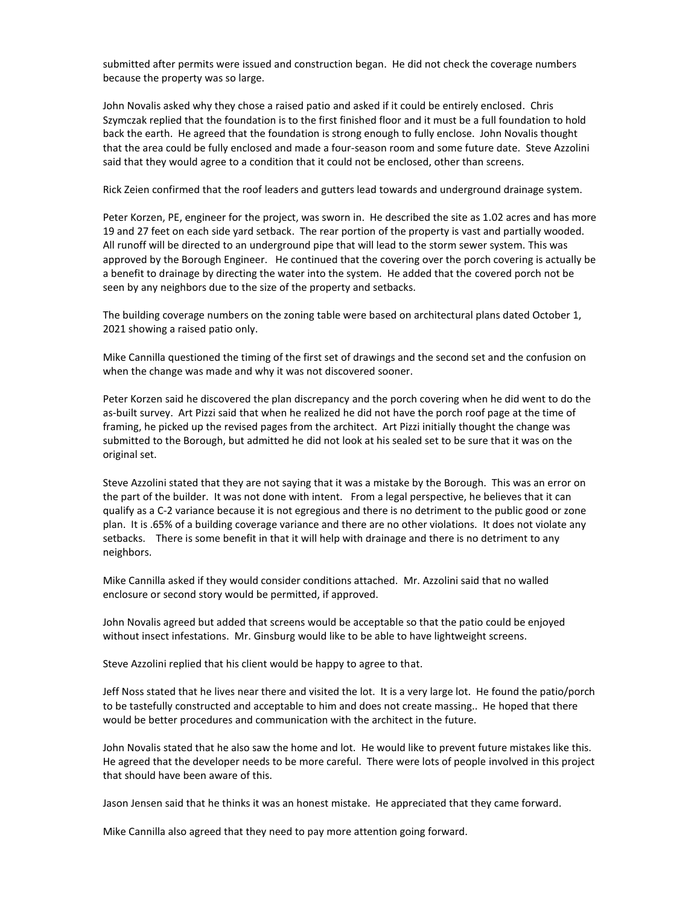submitted after permits were issued and construction began. He did not check the coverage numbers because the property was so large.

John Novalis asked why they chose a raised patio and asked if it could be entirely enclosed. Chris Szymczak replied that the foundation is to the first finished floor and it must be a full foundation to hold back the earth. He agreed that the foundation is strong enough to fully enclose. John Novalis thought that the area could be fully enclosed and made a four-season room and some future date. Steve Azzolini said that they would agree to a condition that it could not be enclosed, other than screens.

Rick Zeien confirmed that the roof leaders and gutters lead towards and underground drainage system.

Peter Korzen, PE, engineer for the project, was sworn in. He described the site as 1.02 acres and has more 19 and 27 feet on each side yard setback. The rear portion of the property is vast and partially wooded. All runoff will be directed to an underground pipe that will lead to the storm sewer system. This was approved by the Borough Engineer. He continued that the covering over the porch covering is actually be a benefit to drainage by directing the water into the system. He added that the covered porch not be seen by any neighbors due to the size of the property and setbacks.

The building coverage numbers on the zoning table were based on architectural plans dated October 1, 2021 showing a raised patio only.

Mike Cannilla questioned the timing of the first set of drawings and the second set and the confusion on when the change was made and why it was not discovered sooner.

Peter Korzen said he discovered the plan discrepancy and the porch covering when he did went to do the as-built survey. Art Pizzi said that when he realized he did not have the porch roof page at the time of framing, he picked up the revised pages from the architect. Art Pizzi initially thought the change was submitted to the Borough, but admitted he did not look at his sealed set to be sure that it was on the original set.

Steve Azzolini stated that they are not saying that it was a mistake by the Borough. This was an error on the part of the builder. It was not done with intent. From a legal perspective, he believes that it can qualify as a C-2 variance because it is not egregious and there is no detriment to the public good or zone plan. It is .65% of a building coverage variance and there are no other violations. It does not violate any setbacks. There is some benefit in that it will help with drainage and there is no detriment to any neighbors.

Mike Cannilla asked if they would consider conditions attached. Mr. Azzolini said that no walled enclosure or second story would be permitted, if approved.

John Novalis agreed but added that screens would be acceptable so that the patio could be enjoyed without insect infestations. Mr. Ginsburg would like to be able to have lightweight screens.

Steve Azzolini replied that his client would be happy to agree to that.

Jeff Noss stated that he lives near there and visited the lot. It is a very large lot. He found the patio/porch to be tastefully constructed and acceptable to him and does not create massing.. He hoped that there would be better procedures and communication with the architect in the future.

John Novalis stated that he also saw the home and lot. He would like to prevent future mistakes like this. He agreed that the developer needs to be more careful. There were lots of people involved in this project that should have been aware of this.

Jason Jensen said that he thinks it was an honest mistake. He appreciated that they came forward.

Mike Cannilla also agreed that they need to pay more attention going forward.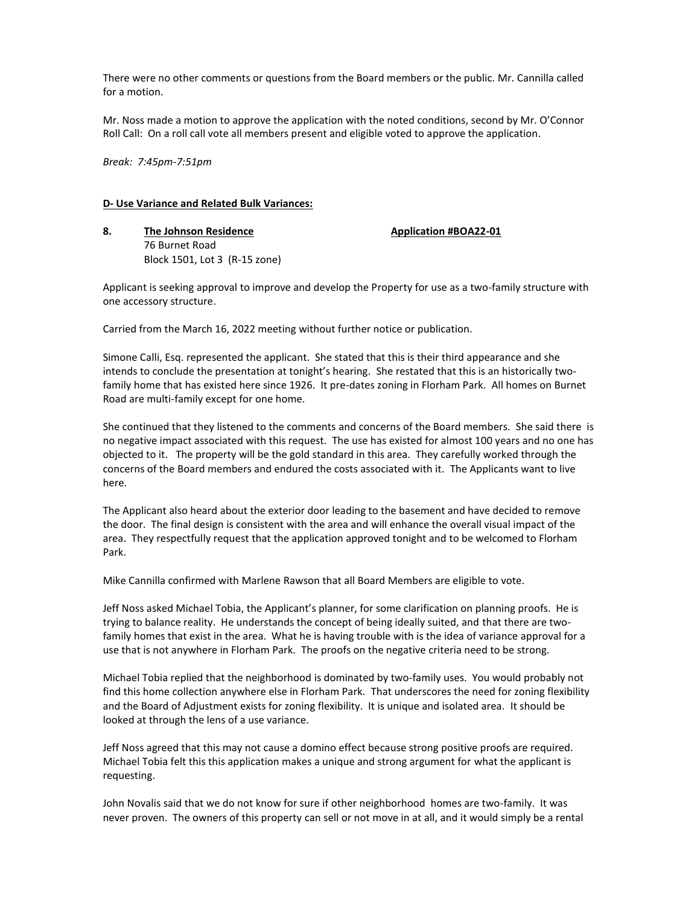There were no other comments or questions from the Board members or the public. Mr. Cannilla called for a motion.

Mr. Noss made a motion to approve the application with the noted conditions, second by Mr. O'Connor Roll Call: On a roll call vote all members present and eligible voted to approve the application.

*Break: 7:45pm-7:51pm*

#### **D- Use Variance and Related Bulk Variances:**

**8. The Johnson Residence Application #BOA22-01** 76 Burnet Road Block 1501, Lot 3 (R-15 zone)

Applicant is seeking approval to improve and develop the Property for use as a two-family structure with one accessory structure.

Carried from the March 16, 2022 meeting without further notice or publication.

Simone Calli, Esq. represented the applicant. She stated that this is their third appearance and she intends to conclude the presentation at tonight's hearing. She restated that this is an historically twofamily home that has existed here since 1926. It pre-dates zoning in Florham Park. All homes on Burnet Road are multi-family except for one home.

She continued that they listened to the comments and concerns of the Board members. She said there is no negative impact associated with this request. The use has existed for almost 100 years and no one has objected to it. The property will be the gold standard in this area. They carefully worked through the concerns of the Board members and endured the costs associated with it. The Applicants want to live here.

The Applicant also heard about the exterior door leading to the basement and have decided to remove the door. The final design is consistent with the area and will enhance the overall visual impact of the area. They respectfully request that the application approved tonight and to be welcomed to Florham Park.

Mike Cannilla confirmed with Marlene Rawson that all Board Members are eligible to vote.

Jeff Noss asked Michael Tobia, the Applicant's planner, for some clarification on planning proofs. He is trying to balance reality. He understands the concept of being ideally suited, and that there are twofamily homes that exist in the area. What he is having trouble with is the idea of variance approval for a use that is not anywhere in Florham Park. The proofs on the negative criteria need to be strong.

Michael Tobia replied that the neighborhood is dominated by two-family uses. You would probably not find this home collection anywhere else in Florham Park. That underscores the need for zoning flexibility and the Board of Adjustment exists for zoning flexibility. It is unique and isolated area. It should be looked at through the lens of a use variance.

Jeff Noss agreed that this may not cause a domino effect because strong positive proofs are required. Michael Tobia felt this this application makes a unique and strong argument for what the applicant is requesting.

John Novalis said that we do not know for sure if other neighborhood homes are two-family. It was never proven. The owners of this property can sell or not move in at all, and it would simply be a rental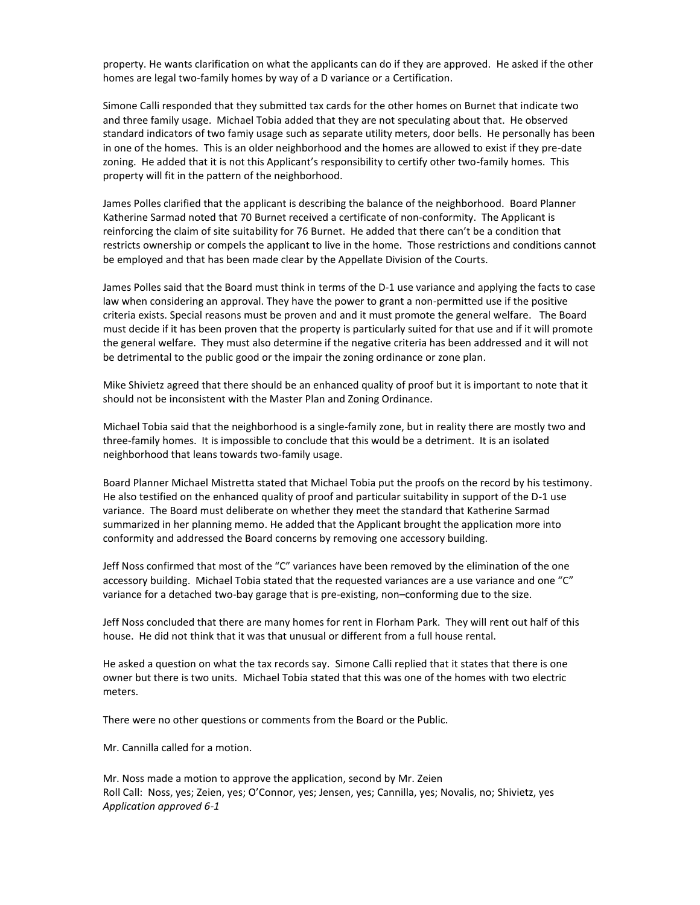property. He wants clarification on what the applicants can do if they are approved. He asked if the other homes are legal two-family homes by way of a D variance or a Certification.

Simone Calli responded that they submitted tax cards for the other homes on Burnet that indicate two and three family usage. Michael Tobia added that they are not speculating about that. He observed standard indicators of two famiy usage such as separate utility meters, door bells. He personally has been in one of the homes. This is an older neighborhood and the homes are allowed to exist if they pre-date zoning. He added that it is not this Applicant's responsibility to certify other two-family homes. This property will fit in the pattern of the neighborhood.

James Polles clarified that the applicant is describing the balance of the neighborhood. Board Planner Katherine Sarmad noted that 70 Burnet received a certificate of non-conformity. The Applicant is reinforcing the claim of site suitability for 76 Burnet. He added that there can't be a condition that restricts ownership or compels the applicant to live in the home. Those restrictions and conditions cannot be employed and that has been made clear by the Appellate Division of the Courts.

James Polles said that the Board must think in terms of the D-1 use variance and applying the facts to case law when considering an approval. They have the power to grant a non-permitted use if the positive criteria exists. Special reasons must be proven and and it must promote the general welfare. The Board must decide if it has been proven that the property is particularly suited for that use and if it will promote the general welfare. They must also determine if the negative criteria has been addressed and it will not be detrimental to the public good or the impair the zoning ordinance or zone plan.

Mike Shivietz agreed that there should be an enhanced quality of proof but it is important to note that it should not be inconsistent with the Master Plan and Zoning Ordinance.

Michael Tobia said that the neighborhood is a single-family zone, but in reality there are mostly two and three-family homes. It is impossible to conclude that this would be a detriment. It is an isolated neighborhood that leans towards two-family usage.

Board Planner Michael Mistretta stated that Michael Tobia put the proofs on the record by his testimony. He also testified on the enhanced quality of proof and particular suitability in support of the D-1 use variance. The Board must deliberate on whether they meet the standard that Katherine Sarmad summarized in her planning memo. He added that the Applicant brought the application more into conformity and addressed the Board concerns by removing one accessory building.

Jeff Noss confirmed that most of the "C" variances have been removed by the elimination of the one accessory building. Michael Tobia stated that the requested variances are a use variance and one "C" variance for a detached two-bay garage that is pre-existing, non–conforming due to the size.

Jeff Noss concluded that there are many homes for rent in Florham Park. They will rent out half of this house. He did not think that it was that unusual or different from a full house rental.

He asked a question on what the tax records say. Simone Calli replied that it states that there is one owner but there is two units. Michael Tobia stated that this was one of the homes with two electric meters.

There were no other questions or comments from the Board or the Public.

Mr. Cannilla called for a motion.

Mr. Noss made a motion to approve the application, second by Mr. Zeien Roll Call: Noss, yes; Zeien, yes; O'Connor, yes; Jensen, yes; Cannilla, yes; Novalis, no; Shivietz, yes *Application approved 6-1*